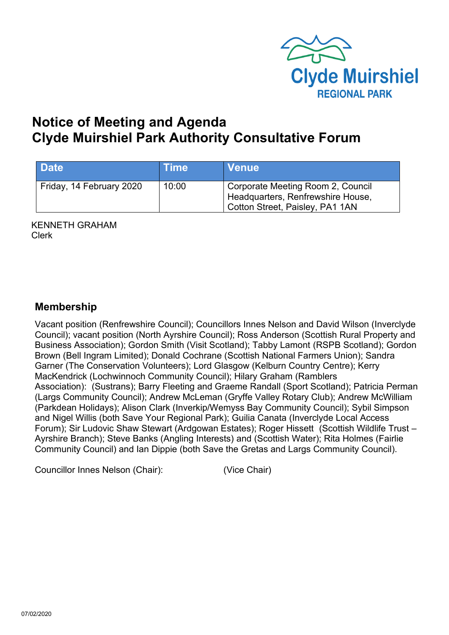

# **Notice of Meeting and Agenda Clyde Muirshiel Park Authority Consultative Forum**

| <b>Date</b>              | <b>Time</b> | <b>Venue</b>                                                                                              |
|--------------------------|-------------|-----------------------------------------------------------------------------------------------------------|
| Friday, 14 February 2020 | 10:00       | Corporate Meeting Room 2, Council<br>Headquarters, Renfrewshire House,<br>Cotton Street, Paisley, PA1 1AN |

KENNETH GRAHAM Clerk

# **Membership**

Vacant position (Renfrewshire Council); Councillors Innes Nelson and David Wilson (Inverclyde Council); vacant position (North Ayrshire Council); Ross Anderson (Scottish Rural Property and Business Association); Gordon Smith (Visit Scotland); Tabby Lamont (RSPB Scotland); Gordon Brown (Bell Ingram Limited); Donald Cochrane (Scottish National Farmers Union); Sandra Garner (The Conservation Volunteers); Lord Glasgow (Kelburn Country Centre); Kerry MacKendrick (Lochwinnoch Community Council); Hilary Graham (Ramblers Association): (Sustrans); Barry Fleeting and Graeme Randall (Sport Scotland); Patricia Perman (Largs Community Council); Andrew McLeman (Gryffe Valley Rotary Club); Andrew McWilliam (Parkdean Holidays); Alison Clark (Inverkip/Wemyss Bay Community Council); Sybil Simpson and Nigel Willis (both Save Your Regional Park); Guilia Canata (Inverclyde Local Access Forum); Sir Ludovic Shaw Stewart (Ardgowan Estates); Roger Hissett (Scottish Wildlife Trust – Ayrshire Branch); Steve Banks (Angling Interests) and (Scottish Water); Rita Holmes (Fairlie Community Council) and Ian Dippie (both Save the Gretas and Largs Community Council).

Councillor Innes Nelson (Chair): (Vice Chair)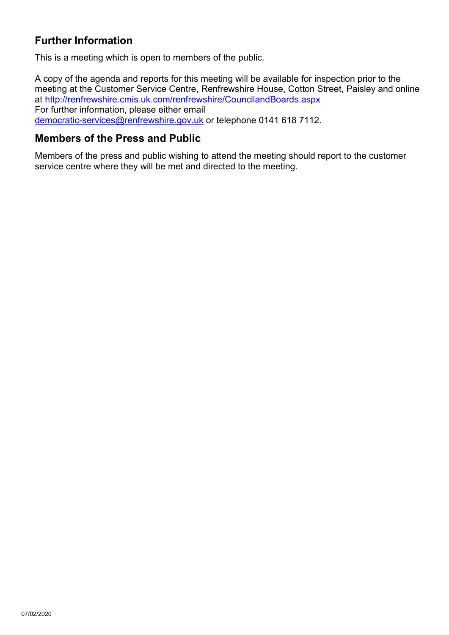# **Further Information**

This is a meeting which is open to members of the public.

A copy of the agenda and reports for this meeting will be available for inspection prior to the meeting at the Customer Service Centre, Renfrewshire House, Cotton Street, Paisley and online at <http://renfrewshire.cmis.uk.com/renfrewshire/CouncilandBoards.aspx> For further information, please either email [democratic-services@renfrewshire.gov.uk](mailto:democratic-services@renfrewshire.gov.uk) or telephone 0141 618 7112.

#### **Members of the Press and Public**

Members of the press and public wishing to attend the meeting should report to the customer service centre where they will be met and directed to the meeting.